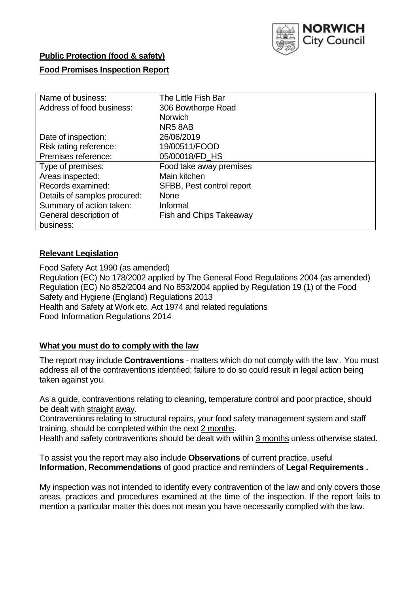

# **Public Protection (food & safety)**

# **Food Premises Inspection Report**

| Name of business:            | The Little Fish Bar            |
|------------------------------|--------------------------------|
| Address of food business:    | 306 Bowthorpe Road             |
|                              | <b>Norwich</b>                 |
|                              | NR58AB                         |
| Date of inspection:          | 26/06/2019                     |
| Risk rating reference:       | 19/00511/FOOD                  |
| Premises reference:          | 05/00018/FD_HS                 |
| Type of premises:            | Food take away premises        |
| Areas inspected:             | Main kitchen                   |
| Records examined:            | SFBB, Pest control report      |
| Details of samples procured: | <b>None</b>                    |
| Summary of action taken:     | Informal                       |
| General description of       | <b>Fish and Chips Takeaway</b> |
| business:                    |                                |

# **Relevant Legislation**

Food Safety Act 1990 (as amended) Regulation (EC) No 178/2002 applied by The General Food Regulations 2004 (as amended) Regulation (EC) No 852/2004 and No 853/2004 applied by Regulation 19 (1) of the Food Safety and Hygiene (England) Regulations 2013 Health and Safety at Work etc. Act 1974 and related regulations Food Information Regulations 2014

# **What you must do to comply with the law**

The report may include **Contraventions** - matters which do not comply with the law . You must address all of the contraventions identified; failure to do so could result in legal action being taken against you.

As a guide, contraventions relating to cleaning, temperature control and poor practice, should be dealt with straight away.

Contraventions relating to structural repairs, your food safety management system and staff training, should be completed within the next 2 months.

Health and safety contraventions should be dealt with within 3 months unless otherwise stated.

To assist you the report may also include **Observations** of current practice, useful **Information**, **Recommendations** of good practice and reminders of **Legal Requirements .**

My inspection was not intended to identify every contravention of the law and only covers those areas, practices and procedures examined at the time of the inspection. If the report fails to mention a particular matter this does not mean you have necessarily complied with the law.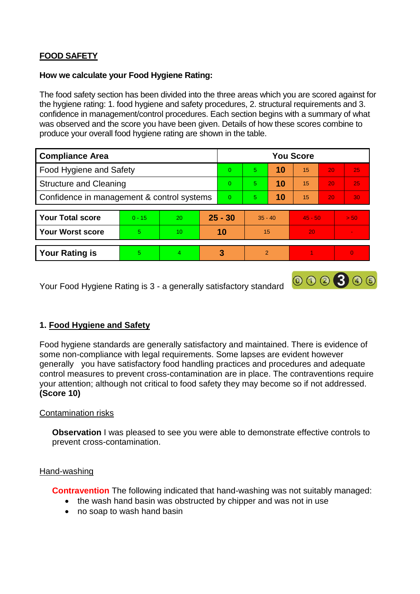# **FOOD SAFETY**

## **How we calculate your Food Hygiene Rating:**

The food safety section has been divided into the three areas which you are scored against for the hygiene rating: 1. food hygiene and safety procedures, 2. structural requirements and 3. confidence in management/control procedures. Each section begins with a summary of what was observed and the score you have been given. Details of how these scores combine to produce your overall food hygiene rating are shown in the table.

| <b>Compliance Area</b>                     |          |    |          | <b>You Score</b> |                |    |           |                 |          |  |  |
|--------------------------------------------|----------|----|----------|------------------|----------------|----|-----------|-----------------|----------|--|--|
| Food Hygiene and Safety                    |          |    |          | $\Omega$         | 5              | 10 | 15        | 20              | 25       |  |  |
| <b>Structure and Cleaning</b>              |          |    | $\Omega$ | 5                | 10             | 15 | 20        | 25              |          |  |  |
| Confidence in management & control systems |          |    | $\Omega$ | 5 <sup>5</sup>   | 10             | 15 | 20        | 30 <sup>°</sup> |          |  |  |
|                                            |          |    |          |                  |                |    |           |                 |          |  |  |
| <b>Your Total score</b>                    | $0 - 15$ | 20 |          | $25 - 30$        | $35 - 40$      |    | $45 - 50$ |                 | > 50     |  |  |
| <b>Your Worst score</b>                    | 5        | 10 |          | 10               | 15             |    | 20        |                 |          |  |  |
|                                            |          |    |          |                  |                |    |           |                 |          |  |  |
| <b>Your Rating is</b>                      | 5        | 4  |          | 3                | $\overline{2}$ |    |           |                 | $\Omega$ |  |  |

Your Food Hygiene Rating is 3 - a generally satisfactory standard

# **1. Food Hygiene and Safety**

Food hygiene standards are generally satisfactory and maintained. There is evidence of some non-compliance with legal requirements. Some lapses are evident however generally you have satisfactory food handling practices and procedures and adequate control measures to prevent cross-contamination are in place. The contraventions require your attention; although not critical to food safety they may become so if not addressed. **(Score 10)**

000300

# Contamination risks

**Observation** I was pleased to see you were able to demonstrate effective controls to prevent cross-contamination.

#### Hand-washing

**Contravention** The following indicated that hand-washing was not suitably managed:

- the wash hand basin was obstructed by chipper and was not in use
- no soap to wash hand basin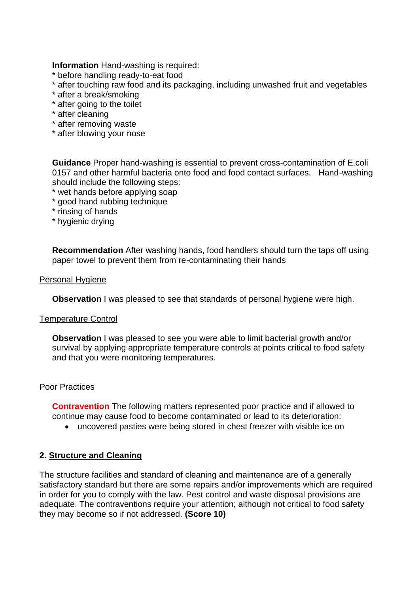**Information** Hand-washing is required:

- \* before handling ready-to-eat food
- \* after touching raw food and its packaging, including unwashed fruit and vegetables
- \* after a break/smoking
- \* after going to the toilet
- \* after cleaning
- \* after removing waste
- \* after blowing your nose

**Guidance** Proper hand-washing is essential to prevent cross-contamination of E.coli 0157 and other harmful bacteria onto food and food contact surfaces. Hand-washing should include the following steps:

- \* wet hands before applying soap
- \* good hand rubbing technique
- \* rinsing of hands
- \* hygienic drying

**Recommendation** After washing hands, food handlers should turn the taps off using paper towel to prevent them from re-contaminating their hands

#### Personal Hygiene

**Observation** I was pleased to see that standards of personal hygiene were high.

#### Temperature Control

**Observation** I was pleased to see you were able to limit bacterial growth and/or survival by applying appropriate temperature controls at points critical to food safety and that you were monitoring temperatures.

#### Poor Practices

**Contravention** The following matters represented poor practice and if allowed to continue may cause food to become contaminated or lead to its deterioration:

uncovered pasties were being stored in chest freezer with visible ice on

# **2. Structure and Cleaning**

The structure facilities and standard of cleaning and maintenance are of a generally satisfactory standard but there are some repairs and/or improvements which are required in order for you to comply with the law. Pest control and waste disposal provisions are adequate. The contraventions require your attention; although not critical to food safety they may become so if not addressed. **(Score 10)**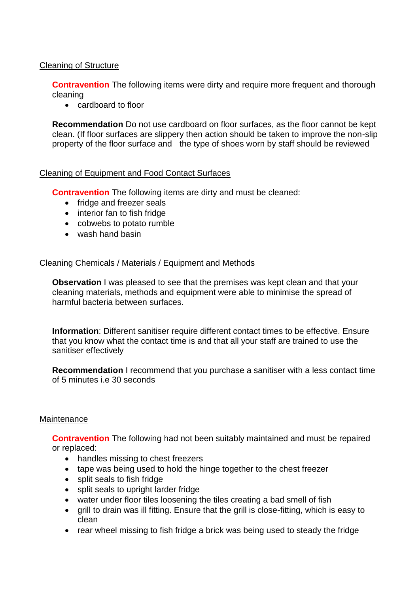# Cleaning of Structure

**Contravention** The following items were dirty and require more frequent and thorough cleaning

• cardboard to floor

**Recommendation** Do not use cardboard on floor surfaces, as the floor cannot be kept clean. (If floor surfaces are slippery then action should be taken to improve the non-slip property of the floor surface and the type of shoes worn by staff should be reviewed

### Cleaning of Equipment and Food Contact Surfaces

**Contravention** The following items are dirty and must be cleaned:

- fridge and freezer seals
- interior fan to fish fridge
- cobwebs to potato rumble
- wash hand basin

### Cleaning Chemicals / Materials / Equipment and Methods

**Observation** I was pleased to see that the premises was kept clean and that your cleaning materials, methods and equipment were able to minimise the spread of harmful bacteria between surfaces.

**Information**: Different sanitiser require different contact times to be effective. Ensure that you know what the contact time is and that all your staff are trained to use the sanitiser effectively

**Recommendation** I recommend that you purchase a sanitiser with a less contact time of 5 minutes i.e 30 seconds

#### **Maintenance**

**Contravention** The following had not been suitably maintained and must be repaired or replaced:

- handles missing to chest freezers
- tape was being used to hold the hinge together to the chest freezer
- split seals to fish fridge
- split seals to upright larder fridge
- water under floor tiles loosening the tiles creating a bad smell of fish
- grill to drain was ill fitting. Ensure that the grill is close-fitting, which is easy to clean
- rear wheel missing to fish fridge a brick was being used to steady the fridge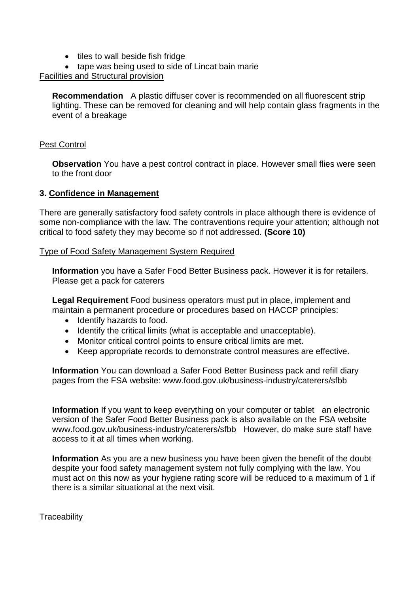- tiles to wall beside fish fridge
- tape was being used to side of Lincat bain marie

## Facilities and Structural provision

**Recommendation** A plastic diffuser cover is recommended on all fluorescent strip lighting. These can be removed for cleaning and will help contain glass fragments in the event of a breakage

## Pest Control

**Observation** You have a pest control contract in place. However small flies were seen to the front door

### **3. Confidence in Management**

There are generally satisfactory food safety controls in place although there is evidence of some non-compliance with the law. The contraventions require your attention; although not critical to food safety they may become so if not addressed. **(Score 10)**

#### Type of Food Safety Management System Required

**Information** you have a Safer Food Better Business pack. However it is for retailers. Please get a pack for caterers

**Legal Requirement** Food business operators must put in place, implement and maintain a permanent procedure or procedures based on HACCP principles:

- Identify hazards to food.
- Identify the critical limits (what is acceptable and unacceptable).
- Monitor critical control points to ensure critical limits are met.
- Keep appropriate records to demonstrate control measures are effective.

**Information** You can download a Safer Food Better Business pack and refill diary pages from the FSA website: www.food.gov.uk/business-industry/caterers/sfbb

**Information** If you want to keep everything on your computer or tablet an electronic version of the Safer Food Better Business pack is also available on the FSA website www.food.gov.uk/business-industry/caterers/sfbb However, do make sure staff have access to it at all times when working.

**Information** As you are a new business you have been given the benefit of the doubt despite your food safety management system not fully complying with the law. You must act on this now as your hygiene rating score will be reduced to a maximum of 1 if there is a similar situational at the next visit.

# **Traceability**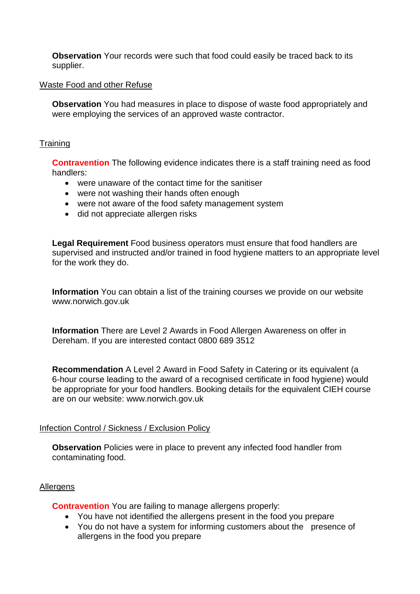**Observation** Your records were such that food could easily be traced back to its supplier.

### Waste Food and other Refuse

**Observation** You had measures in place to dispose of waste food appropriately and were employing the services of an approved waste contractor.

## **Training**

**Contravention** The following evidence indicates there is a staff training need as food handlers:

- were unaware of the contact time for the sanitiser
- were not washing their hands often enough
- were not aware of the food safety management system
- did not appreciate allergen risks

**Legal Requirement** Food business operators must ensure that food handlers are supervised and instructed and/or trained in food hygiene matters to an appropriate level for the work they do.

**Information** You can obtain a list of the training courses we provide on our website www.norwich.gov.uk

**Information** There are Level 2 Awards in Food Allergen Awareness on offer in Dereham. If you are interested contact 0800 689 3512

**Recommendation** A Level 2 Award in Food Safety in Catering or its equivalent (a 6-hour course leading to the award of a recognised certificate in food hygiene) would be appropriate for your food handlers. Booking details for the equivalent CIEH course are on our website: www.norwich.gov.uk

# Infection Control / Sickness / Exclusion Policy

**Observation** Policies were in place to prevent any infected food handler from contaminating food.

# Allergens

**Contravention** You are failing to manage allergens properly:

- You have not identified the allergens present in the food you prepare
- You do not have a system for informing customers about the presence of allergens in the food you prepare